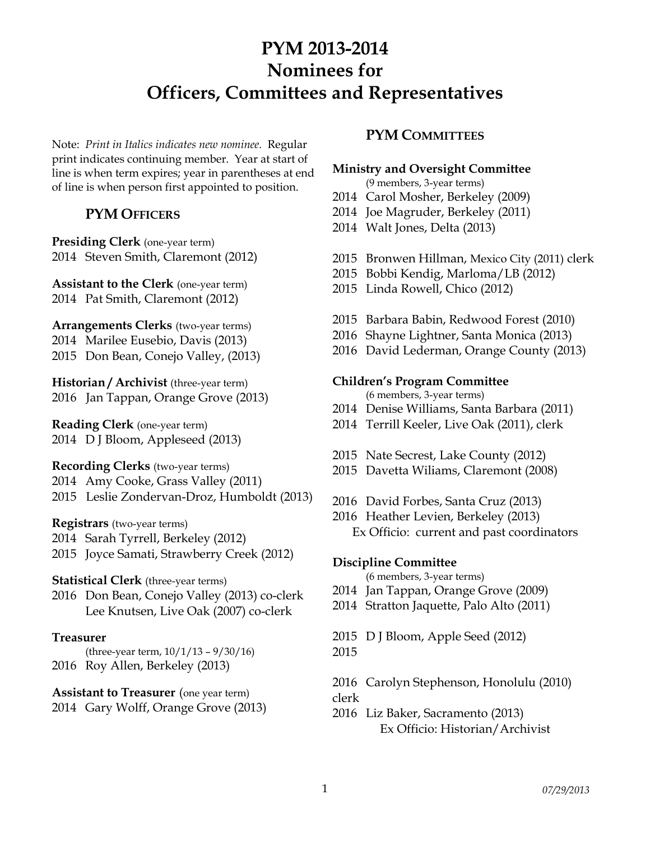Note: *Print in Italics indicates new nominee.* Regular print indicates continuing member. Year at start of line is when term expires; year in parentheses at end of line is when person first appointed to position.

# **PYM OFFICERS**

**Presiding Clerk** (one-year term) 2014 Steven Smith, Claremont (2012)

**Assistant to the Clerk** (one-year term) 2014 Pat Smith, Claremont (2012)

**Arrangements Clerks** (two-year terms) 2014 Marilee Eusebio, Davis (2013) 2015 Don Bean, Conejo Valley, (2013)

**Historian / Archivist** (three-year term) 2016 Jan Tappan, Orange Grove (2013)

**Reading Clerk** (one-year term) 2014 D J Bloom, Appleseed (2013)

**Recording Clerks** (two-year terms) 2014 Amy Cooke, Grass Valley (2011) 2015 Leslie Zondervan-Droz, Humboldt (2013)

**Registrars** (two-year terms)

2014 Sarah Tyrrell, Berkeley (2012)

2015 Joyce Samati, Strawberry Creek (2012)

**Statistical Clerk** (three-year terms)

2016 Don Bean, Conejo Valley (2013) co-clerk Lee Knutsen, Live Oak (2007) co-clerk

# **Treasurer**

(three-year term, 10/1/13 – 9/30/16) 2016 Roy Allen, Berkeley (2013)

## **Assistant to Treasurer** (one year term) 2014 Gary Wolff, Orange Grove (2013)

# **PYM COMMITTEES**

# **Ministry and Oversight Committee**

(9 members, 3-year terms)

- 2014 Carol Mosher, Berkeley (2009)
- 2014 Joe Magruder, Berkeley (2011)
- 2014 Walt Jones, Delta (2013)
- 2015 Bronwen Hillman, Mexico City (2011) clerk
- 2015 Bobbi Kendig, Marloma/LB (2012)
- 2015 Linda Rowell, Chico (2012)
- 2015 Barbara Babin, Redwood Forest (2010)
- 2016 Shayne Lightner, Santa Monica (2013)
- 2016 David Lederman, Orange County (2013)

## **Children's Program Committee**

- (6 members, 3-year terms)
- 2014 Denise Williams, Santa Barbara (2011)
- 2014 Terrill Keeler, Live Oak (2011), clerk
- 2015 Nate Secrest, Lake County (2012)
- 2015 Davetta Wiliams, Claremont (2008)
- 2016 David Forbes, Santa Cruz (2013)
- 2016 Heather Levien, Berkeley (2013) Ex Officio: current and past coordinators

# **Discipline Committee**

- (6 members, 3-year terms)
- 2014 Jan Tappan, Orange Grove (2009)
- 2014 Stratton Jaquette, Palo Alto (2011)

2015 D J Bloom, Apple Seed (2012)

2015

2016 Carolyn Stephenson, Honolulu (2010)

- clerk
- 2016 Liz Baker, Sacramento (2013) Ex Officio: Historian/Archivist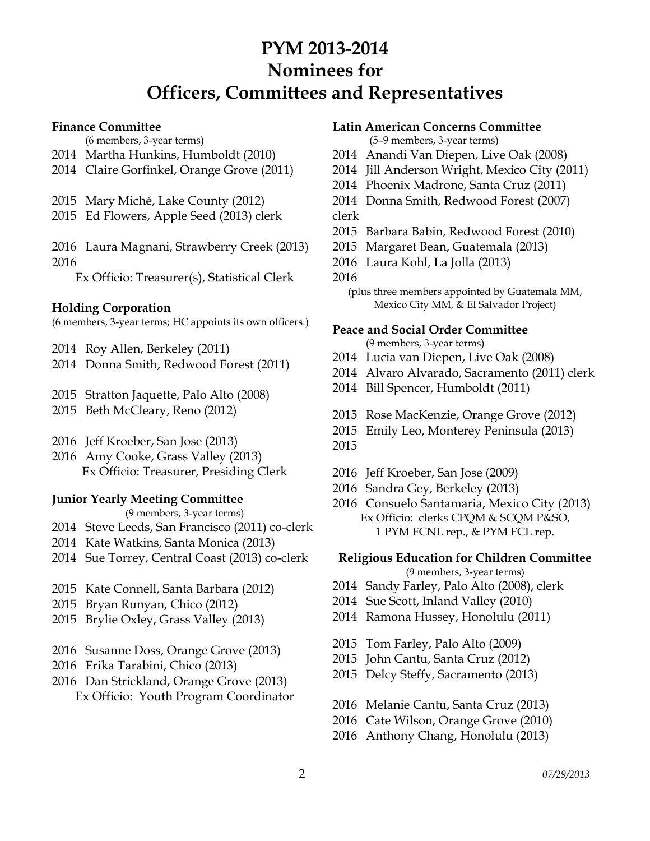#### **Finance Committee**

(6 members, 3-year terms)

- Martha Hunkins, Humboldt (2010)
- Claire Gorfinkel, Orange Grove (2011)
- Mary Miché, Lake County (2012)
- Ed Flowers, Apple Seed (2013) clerk

 Laura Magnani, Strawberry Creek (2013) 

Ex Officio: Treasurer(s), Statistical Clerk

## **Holding Corporation**

(6 members, 3-year terms; HC appoints its own officers.)

- Roy Allen, Berkeley (2011)
- Donna Smith, Redwood Forest (2011)
- Stratton Jaquette, Palo Alto (2008)
- Beth McCleary, Reno (2012)
- Jeff Kroeber, San Jose (2013)
- Amy Cooke, Grass Valley (2013) Ex Officio: Treasurer, Presiding Clerk

# **Junior Yearly Meeting Committee**

(9 members, 3-year terms)

- Steve Leeds, San Francisco (2011) co-clerk
- Kate Watkins, Santa Monica (2013)
- Sue Torrey, Central Coast (2013) co-clerk
- Kate Connell, Santa Barbara (2012)
- Bryan Runyan, Chico (2012)
- Brylie Oxley, Grass Valley (2013)
- Susanne Doss, Orange Grove (2013)
- Erika Tarabini, Chico (2013)
- Dan Strickland, Orange Grove (2013) Ex Officio: Youth Program Coordinator

## **Latin American Concerns Committee**

(5–9 members, 3-year terms)

- Anandi Van Diepen, Live Oak (2008)
- Jill Anderson Wright, Mexico City (2011)
- Phoenix Madrone, Santa Cruz (2011)
- Donna Smith, Redwood Forest (2007) clerk
- Barbara Babin, Redwood Forest (2010)
- Margaret Bean, Guatemala (2013)
- Laura Kohl, La Jolla (2013)

### 

(plus three members appointed by Guatemala MM, Mexico City MM, & El Salvador Project)

## **Peace and Social Order Committee**

- (9 members, 3-year terms)
- Lucia van Diepen, Live Oak (2008)
- Alvaro Alvarado, Sacramento (2011) clerk
- Bill Spencer, Humboldt (2011)
- Rose MacKenzie, Orange Grove (2012)
- Emily Leo, Monterey Peninsula (2013)
- 
- Jeff Kroeber, San Jose (2009)
- Sandra Gey, Berkeley (2013)
- Consuelo Santamaria, Mexico City (2013) Ex Officio: clerks CPQM & SCQM P&SO, 1 PYM FCNL rep., & PYM FCL rep.

### **Religious Education for Children Committee**

(9 members, 3-year terms)

- Sandy Farley, Palo Alto (2008), clerk
- 2014 Sue Scott, Inland Valley (2010)
- Ramona Hussey, Honolulu (2011)
- Tom Farley, Palo Alto (2009)
- John Cantu, Santa Cruz (2012)
- Delcy Steffy, Sacramento (2013)
- Melanie Cantu, Santa Cruz (2013)
- Cate Wilson, Orange Grove (2010)
- Anthony Chang, Honolulu (2013)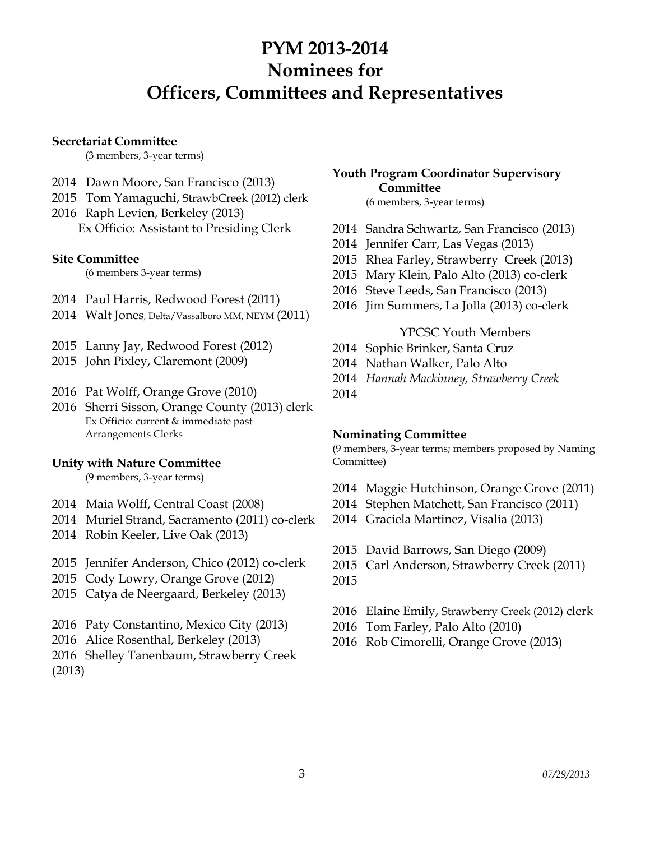#### **Secretariat Committee**

(3 members, 3-year terms)

- 2014 Dawn Moore, San Francisco (2013)
- 2015 Tom Yamaguchi, StrawbCreek (2012) clerk
- 2016 Raph Levien, Berkeley (2013) Ex Officio: Assistant to Presiding Clerk

### **Site Committee**

(6 members 3-year terms)

- 2014 Paul Harris, Redwood Forest (2011)
- 2014 Walt Jones, Delta/Vassalboro MM, NEYM (2011)
- 2015 Lanny Jay, Redwood Forest (2012)
- 2015 John Pixley, Claremont (2009)
- 2016 Pat Wolff, Orange Grove (2010)
- 2016 Sherri Sisson, Orange County (2013) clerk Ex Officio: current & immediate past Arrangements Clerks

### **Unity with Nature Committee**

(9 members, 3-year terms)

- 2014 Maia Wolff, Central Coast (2008)
- 2014 Muriel Strand, Sacramento (2011) co-clerk
- 2014 Robin Keeler, Live Oak (2013)
- 2015 Jennifer Anderson, Chico (2012) co-clerk
- 2015 Cody Lowry, Orange Grove (2012)
- 2015 Catya de Neergaard, Berkeley (2013)
- 2016 Paty Constantino, Mexico City (2013)
- 2016 Alice Rosenthal, Berkeley (2013)
- 2016 Shelley Tanenbaum, Strawberry Creek
- (2013)

# **Youth Program Coordinator Supervisory Committee**

#### (6 members, 3-year terms)

- 2014 Sandra Schwartz, San Francisco (2013)
- 2014 Jennifer Carr, Las Vegas (2013)
- 2015 Rhea Farley, Strawberry Creek (2013)
- 2015 Mary Klein, Palo Alto (2013) co-clerk
- 2016 Steve Leeds, San Francisco (2013)
- 2016 Jim Summers, La Jolla (2013) co-clerk

### YPCSC Youth Members

- 2014 Sophie Brinker, Santa Cruz
- 2014 Nathan Walker, Palo Alto
- 2014 *Hannah Mackinney, Strawberry Creek*
- 2014

### **Nominating Committee**

(9 members, 3-year terms; members proposed by Naming Committee)

- 2014 Maggie Hutchinson, Orange Grove (2011)
- 2014 Stephen Matchett, San Francisco (2011)
- 2014 Graciela Martinez, Visalia (2013)
- 2015 David Barrows, San Diego (2009)
- 2015 Carl Anderson, Strawberry Creek (2011) 2015
- 2016 Elaine Emily, Strawberry Creek (2012) clerk
- 2016 Tom Farley, Palo Alto (2010)
- 2016 Rob Cimorelli, Orange Grove (2013)